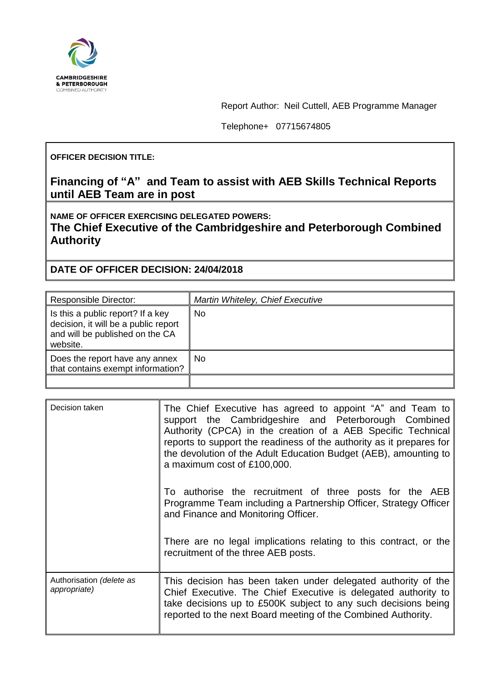

Report Author: Neil Cuttell, AEB Programme Manager

Telephone+ 07715674805

## **OFFICER DECISION TITLE:**

## **Financing of "A" and Team to assist with AEB Skills Technical Reports until AEB Team are in post**

**NAME OF OFFICER EXERCISING DELEGATED POWERS: The Chief Executive of the Cambridgeshire and Peterborough Combined Authority**

**DATE OF OFFICER DECISION: 24/04/2018**

| <b>Responsible Director:</b>                                                                                             | Martin Whiteley, Chief Executive |
|--------------------------------------------------------------------------------------------------------------------------|----------------------------------|
| Is this a public report? If a key<br>decision, it will be a public report<br>and will be published on the CA<br>website. | No                               |
| Does the report have any annex<br>that contains exempt information?                                                      | No                               |
|                                                                                                                          |                                  |

| Decision taken                           | The Chief Executive has agreed to appoint "A" and Team to<br>support the Cambridgeshire and Peterborough Combined<br>Authority (CPCA) in the creation of a AEB Specific Technical<br>reports to support the readiness of the authority as it prepares for<br>the devolution of the Adult Education Budget (AEB), amounting to<br>a maximum cost of £100,000. |
|------------------------------------------|--------------------------------------------------------------------------------------------------------------------------------------------------------------------------------------------------------------------------------------------------------------------------------------------------------------------------------------------------------------|
|                                          | To authorise the recruitment of three posts for the AEB<br>Programme Team including a Partnership Officer, Strategy Officer<br>and Finance and Monitoring Officer.                                                                                                                                                                                           |
|                                          | There are no legal implications relating to this contract, or the<br>recruitment of the three AEB posts.                                                                                                                                                                                                                                                     |
| Authorisation (delete as<br>appropriate) | This decision has been taken under delegated authority of the<br>Chief Executive. The Chief Executive is delegated authority to<br>take decisions up to £500K subject to any such decisions being<br>reported to the next Board meeting of the Combined Authority.                                                                                           |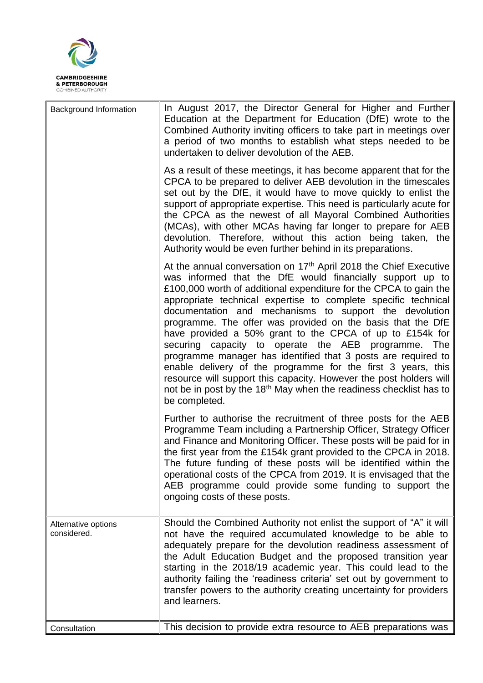

| Background Information             | In August 2017, the Director General for Higher and Further<br>Education at the Department for Education (DfE) wrote to the<br>Combined Authority inviting officers to take part in meetings over<br>a period of two months to establish what steps needed to be<br>undertaken to deliver devolution of the AEB.                                                                                                                                                                                                                                                                                                                                                                                                                                                                                                                        |
|------------------------------------|-----------------------------------------------------------------------------------------------------------------------------------------------------------------------------------------------------------------------------------------------------------------------------------------------------------------------------------------------------------------------------------------------------------------------------------------------------------------------------------------------------------------------------------------------------------------------------------------------------------------------------------------------------------------------------------------------------------------------------------------------------------------------------------------------------------------------------------------|
|                                    | As a result of these meetings, it has become apparent that for the<br>CPCA to be prepared to deliver AEB devolution in the timescales<br>set out by the DfE, it would have to move quickly to enlist the<br>support of appropriate expertise. This need is particularly acute for<br>the CPCA as the newest of all Mayoral Combined Authorities<br>(MCAs), with other MCAs having far longer to prepare for AEB<br>devolution. Therefore, without this action being taken, the<br>Authority would be even further behind in its preparations.                                                                                                                                                                                                                                                                                           |
|                                    | At the annual conversation on 17 <sup>th</sup> April 2018 the Chief Executive<br>was informed that the DfE would financially support up to<br>£100,000 worth of additional expenditure for the CPCA to gain the<br>appropriate technical expertise to complete specific technical<br>documentation and mechanisms to support the devolution<br>programme. The offer was provided on the basis that the DfE<br>have provided a 50% grant to the CPCA of up to £154k for<br>securing capacity to operate the AEB programme. The<br>programme manager has identified that 3 posts are required to<br>enable delivery of the programme for the first 3 years, this<br>resource will support this capacity. However the post holders will<br>not be in post by the 18 <sup>th</sup> May when the readiness checklist has to<br>be completed. |
|                                    | Further to authorise the recruitment of three posts for the AEB<br>Programme Team including a Partnership Officer, Strategy Officer<br>and Finance and Monitoring Officer. These posts will be paid for in<br>the first year from the £154k grant provided to the CPCA in 2018.<br>The future funding of these posts will be identified within the<br>operational costs of the CPCA from 2019. It is envisaged that the<br>AEB programme could provide some funding to support the<br>ongoing costs of these posts.                                                                                                                                                                                                                                                                                                                     |
| Alternative options<br>considered. | Should the Combined Authority not enlist the support of "A" it will<br>not have the required accumulated knowledge to be able to<br>adequately prepare for the devolution readiness assessment of<br>the Adult Education Budget and the proposed transition year<br>starting in the 2018/19 academic year. This could lead to the<br>authority failing the 'readiness criteria' set out by government to<br>transfer powers to the authority creating uncertainty for providers<br>and learners.                                                                                                                                                                                                                                                                                                                                        |
| Consultation                       | This decision to provide extra resource to AEB preparations was                                                                                                                                                                                                                                                                                                                                                                                                                                                                                                                                                                                                                                                                                                                                                                         |